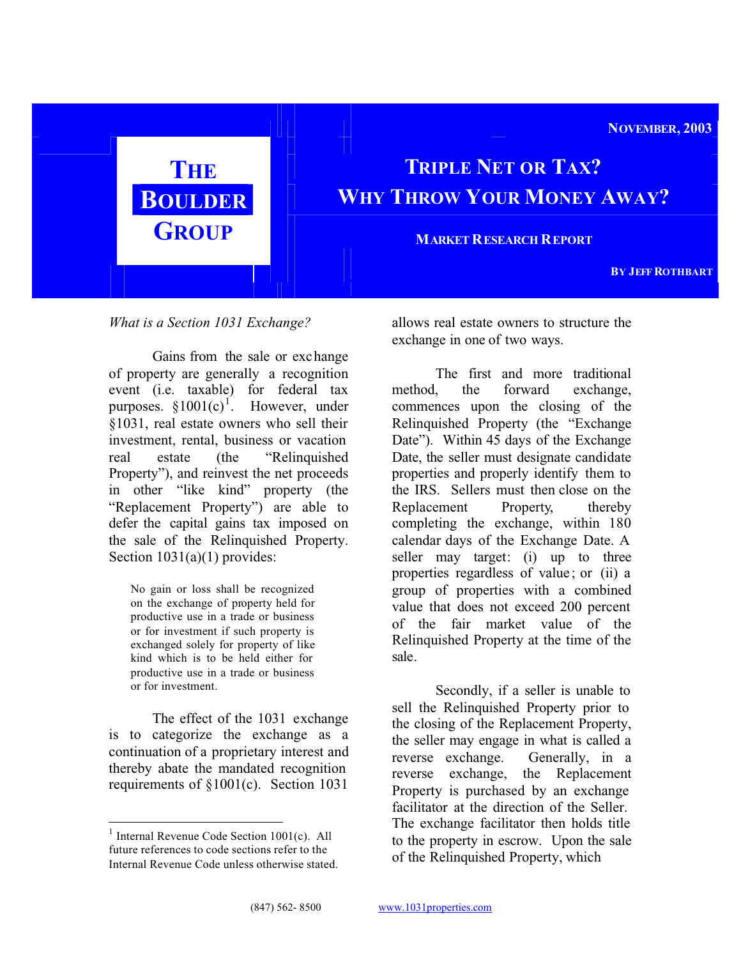**NOVEMBER, 2003**

# **GROUP MARKET RESEARCH REPORT**

## **THE TRIPLE NET OR TAX? BOULDER WHY THROW YOUR MONEY AWAY?**

**BY JEFF ROTHBART**

*What is a Section 1031 Exchange?*

Gains from the sale or exchange of property are generally a recognition event (i.e. taxable) for federal tax purposes.  $§1001(c)^{1}$ . However, under §1031, real estate owners who sell their investment, rental, business or vacation real estate (the "Relinquished Property"), and reinvest the net proceeds in other "like kind" property (the "Replacement Property") are able to defer the capital gains tax imposed on the sale of the Relinquished Property. Section  $1031(a)(1)$  provides:

No gain or loss shall be recognized on the exchange of property held for productive use in a trade or business or for investment if such property is exchanged solely for property of like kind which is to be held either for productive use in a trade or business or for investment.

The effect of the 1031 exchange is to categorize the exchange as a continuation of a proprietary interest and thereby abate the mandated recognition requirements of §1001(c). Section 1031

allows real estate owners to structure the exchange in one of two ways.

The first and more traditional method, the forward exchange, commences upon the closing of the Relinquished Property (the "Exchange Date"). Within 45 days of the Exchange Date, the seller must designate candidate properties and properly identify them to the IRS. Sellers must then close on the Replacement Property, thereby completing the exchange, within 180 calendar days of the Exchange Date. A seller may target: (i) up to three properties regardless of value; or (ii) a group of properties with a combined value that does not exceed 200 percent of the fair market value of the Relinquished Property at the time of the sale.

Secondly, if a seller is unable to sell the Relinquished Property prior to the closing of the Replacement Property, the seller may engage in what is called a reverse exchange. Generally, in a reverse exchange, the Replacement Property is purchased by an exchange facilitator at the direction of the Seller. The exchange facilitator then holds title to the property in escrow. Upon the sale of the Relinquished Property, which

<sup>&</sup>lt;sup>1</sup> Internal Revenue Code Section 1001(c). All future references to code sections refer to the Internal Revenue Code unless otherwise stated.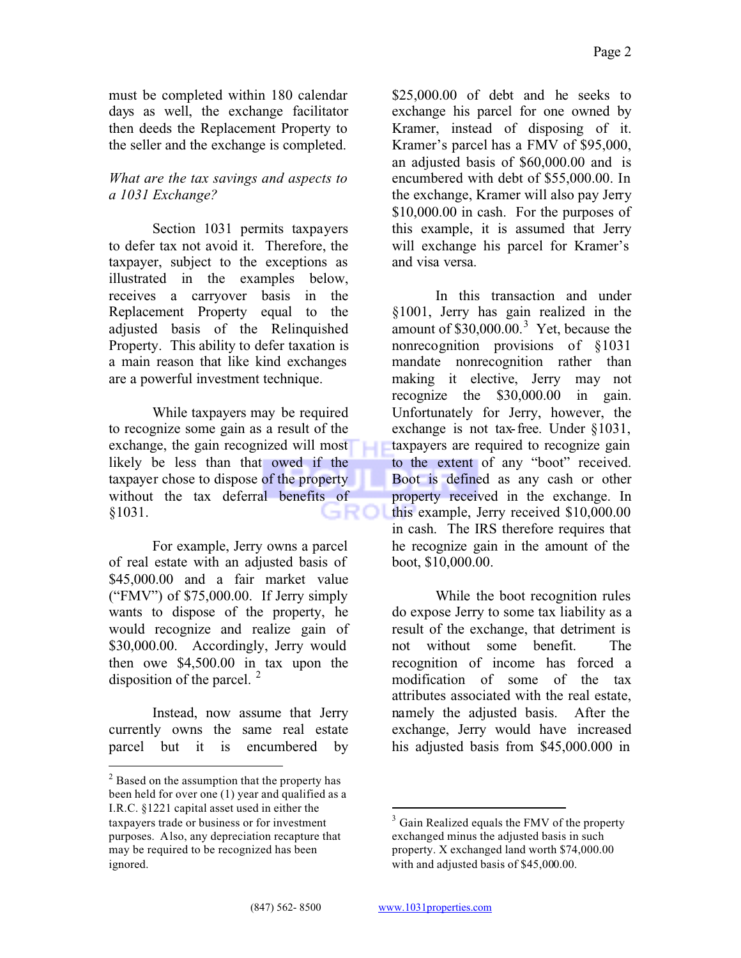must be completed within 180 calendar days as well, the exchange facilitator then deeds the Replacement Property to the seller and the exchange is completed.

#### *What are the tax savings and aspects to a 1031 Exchange?*

Section 1031 permits taxpayers to defer tax not avoid it. Therefore, the taxpayer, subject to the exceptions as illustrated in the examples below, receives a carryover basis in the Replacement Property equal to the adjusted basis of the Relinquished Property. This ability to defer taxation is a main reason that like kind exchanges are a powerful investment technique.

While taxpayers may be required to recognize some gain as a result of the exchange, the gain recognized will most likely be less than that owed if the taxpayer chose to dispose of the property without the tax deferral benefits of §1031. ہ د

For example, Jerry owns a parcel of real estate with an adjusted basis of \$45,000.00 and a fair market value ("FMV") of \$75,000.00. If Jerry simply wants to dispose of the property, he would recognize and realize gain of \$30,000.00. Accordingly, Jerry would then owe \$4,500.00 in tax upon the disposition of the parcel. <sup>2</sup>

Instead, now assume that Jerry currently owns the same real estate parcel but it is encumbered by \$25,000,00 of debt and he seeks to exchange his parcel for one owned by Kramer, instead of disposing of it. Kramer's parcel has a FMV of \$95,000, an adjusted basis of \$60,000.00 and is encumbered with debt of \$55,000.00. In the exchange, Kramer will also pay Jerry \$10,000.00 in cash. For the purposes of this example, it is assumed that Jerry will exchange his parcel for Kramer's and visa versa.

In this transaction and under §1001, Jerry has gain realized in the amount of  $$30,000.00$ .<sup>3</sup> Yet, because the nonrecognition provisions of §1031 mandate nonrecognition rather than making it elective, Jerry may not recognize the \$30,000.00 in gain. Unfortunately for Jerry, however, the exchange is not tax-free. Under §1031, taxpayers are required to recognize gain to the extent of any "boot" received. Boot is defined as any cash or other property received in the exchange. In this example, Jerry received \$10,000.00 in cash. The IRS therefore requires that he recognize gain in the amount of the boot, \$10,000.00.

While the boot recognition rules do expose Jerry to some tax liability as a result of the exchange, that detriment is not without some benefit. The recognition of income has forced a modification of some of the tax attributes associated with the real estate, namely the adjusted basis. After the exchange, Jerry would have increased his adjusted basis from \$45,000.000 in

<sup>&</sup>lt;sup>2</sup> Based on the assumption that the property has been held for over one (1) year and qualified as a I.R.C. §1221 capital asset used in either the taxpayers trade or business or for investment purposes. Also, any depreciation recapture that may be required to be recognized has been ignored.

<sup>&</sup>lt;sup>3</sup> Gain Realized equals the FMV of the property exchanged minus the adjusted basis in such property. X exchanged land worth \$74,000.00 with and adjusted basis of \$45,000.00.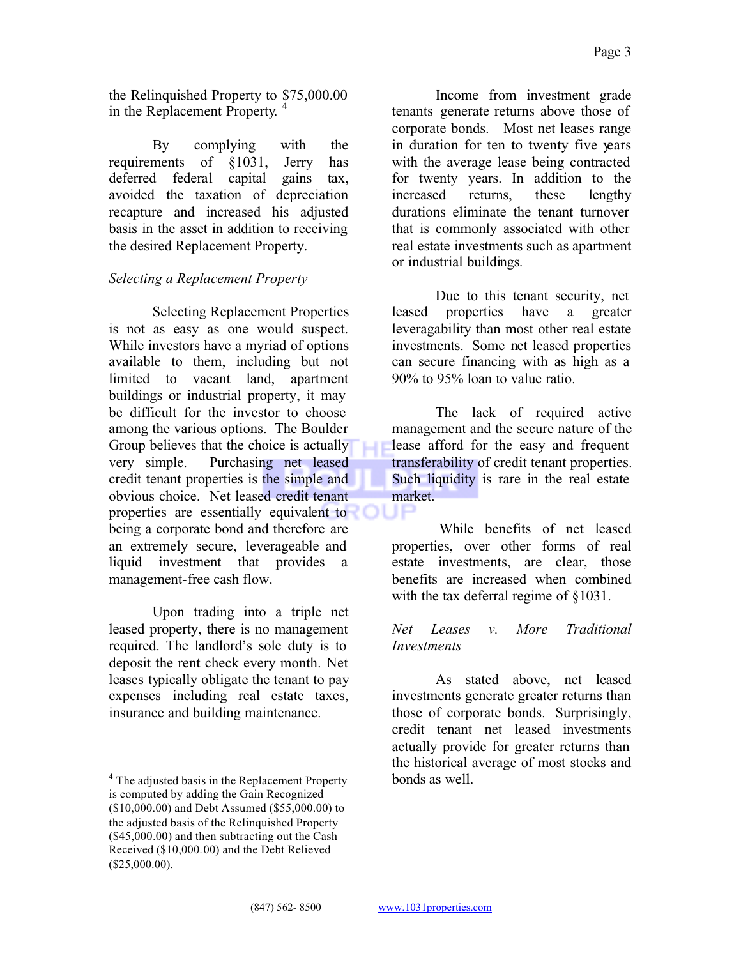the Relinquished Property to \$75,000.00 in the Replacement Property.<sup>4</sup>

By complying with the requirements of §1031, Jerry has deferred federal capital gains tax, avoided the taxation of depreciation recapture and increased his adjusted basis in the asset in addition to receiving the desired Replacement Property.

### *Selecting a Replacement Property*

Selecting Replacement Properties is not as easy as one would suspect. While investors have a myriad of options available to them, including but not limited to vacant land, apartment buildings or industrial property, it may be difficult for the investor to choose among the various options. The Boulder Group believes that the choice is actually very simple. Purchasing net leased credit tenant properties is the simple and obvious choice. Net leased credit tenant properties are essentially equivalent to being a corporate bond and therefore are an extremely secure, leverageable and liquid investment that provides a management-free cash flow.

Upon trading into a triple net leased property, there is no management required. The landlord's sole duty is to deposit the rent check every month. Net leases typically obligate the tenant to pay expenses including real estate taxes, insurance and building maintenance.

Income from investment grade tenants generate returns above those of corporate bonds. Most net leases range in duration for ten to twenty five years with the average lease being contracted for twenty years. In addition to the increased returns, these lengthy durations eliminate the tenant turnover that is commonly associated with other real estate investments such as apartment or industrial buildings.

Due to this tenant security, net leased properties have a greater leveragability than most other real estate investments. Some net leased properties can secure financing with as high as a 90% to 95% loan to value ratio.

The lack of required active management and the secure nature of the lease afford for the easy and frequent transferability of credit tenant properties. Such liquidity is rare in the real estate market.

 While benefits of net leased properties, over other forms of real estate investments, are clear, those benefits are increased when combined with the tax deferral regime of §1031.

#### *Net Leases v. More Traditional Investments*

As stated above, net leased investments generate greater returns than those of corporate bonds. Surprisingly, credit tenant net leased investments actually provide for greater returns than the historical average of most stocks and bonds as well.

JH

<sup>&</sup>lt;sup>4</sup> The adjusted basis in the Replacement Property is computed by adding the Gain Recognized (\$10,000.00) and Debt Assumed (\$55,000.00) to the adjusted basis of the Relinquished Property (\$45,000.00) and then subtracting out the Cash Received (\$10,000.00) and the Debt Relieved (\$25,000.00).